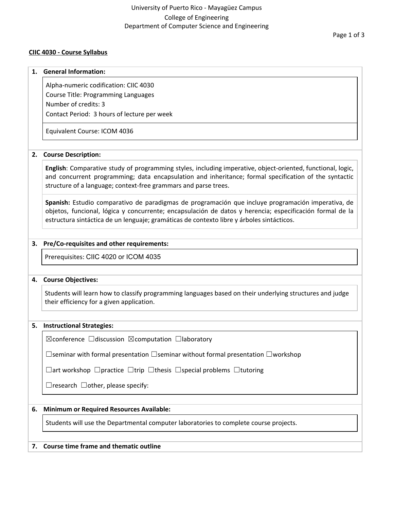# **CIIC 4030 - Course Syllabus**

#### **1. General Information:**

Alpha-numeric codification: CIIC 4030 Course Title: Programming Languages Number of credits: 3 Contact Period: 3 hours of lecture per week

Equivalent Course: ICOM 4036

# **2. Course Description:**

**English**: Comparative study of programming styles, including imperative, object-oriented, functional, logic, and concurrent programming; data encapsulation and inheritance; formal specification of the syntactic structure of a language; context-free grammars and parse trees.

**Spanish:** Estudio comparativo de paradigmas de programación que incluye programación imperativa, de objetos, funcional, lógica y concurrente; encapsulación de datos y herencia; especificación formal de la estructura sintáctica de un lenguaje; gramáticas de contexto libre y árboles sintácticos.

# **3. Pre/Co-requisites and other requirements:**

Prerequisites: CIIC 4020 or ICOM 4035

# **4. Course Objectives:**

Students will learn how to classify programming languages based on their underlying structures and judge their efficiency for a given application.

# **5. Instructional Strategies:**

☒conference ☐discussion ☒computation ☐laboratory

☐seminar with formal presentation ☐seminar without formal presentation ☐workshop

☐art workshop ☐practice ☐trip ☐thesis ☐special problems ☐tutoring

 $\Box$ research  $\Box$ other, please specify:

# **6. Minimum or Required Resources Available:**

Students will use the Departmental computer laboratories to complete course projects.

# **7. Course time frame and thematic outline**

Page 1 of 3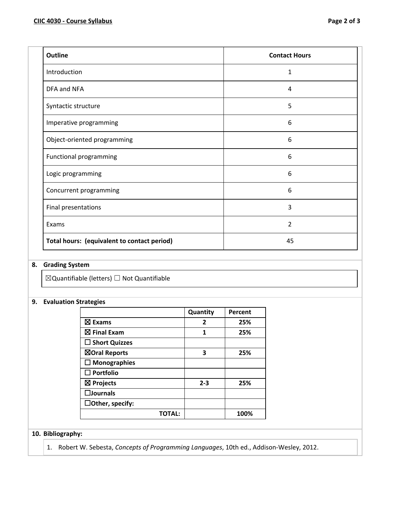| <b>Outline</b>                | <b>Contact Hours</b> |
|-------------------------------|----------------------|
| Introduction                  | 1                    |
| DFA and NFA                   | 4                    |
| Syntactic structure           | 5                    |
| Imperative programming        | 6                    |
| Object-oriented programming   | 6                    |
| <b>Functional programming</b> | 6                    |
| Logic programming             | 6                    |
| Concurrent programming        | 6                    |
| Final presentations           | 3                    |
| Exams                         | 2                    |
|                               |                      |

# **8. Grading System**

☒Quantifiable (letters) ☐ Not Quantifiable

# **9. Evaluation Strategies**

|                         | Quantity | Percent |
|-------------------------|----------|---------|
| $\boxtimes$ Exams       | 2        | 25%     |
| $\boxtimes$ Final Exam  | 1        | 25%     |
| $\square$ Short Quizzes |          |         |
| ⊠Oral Reports           | 3        | 25%     |
| $\Box$ Monographies     |          |         |
| $\square$ Portfolio     |          |         |
| $\boxtimes$ Projects    | $2 - 3$  | 25%     |
| $\square$ Journals      |          |         |
| $\Box$ Other, specify:  |          |         |
| TOTAL:                  |          | 100%    |

**Total hours: (equivalent to contact period)** 45

# **10. Bibliography:**

1. Robert W. Sebesta, *Concepts of Programming Languages*, 10th ed., Addison-Wesley, 2012.